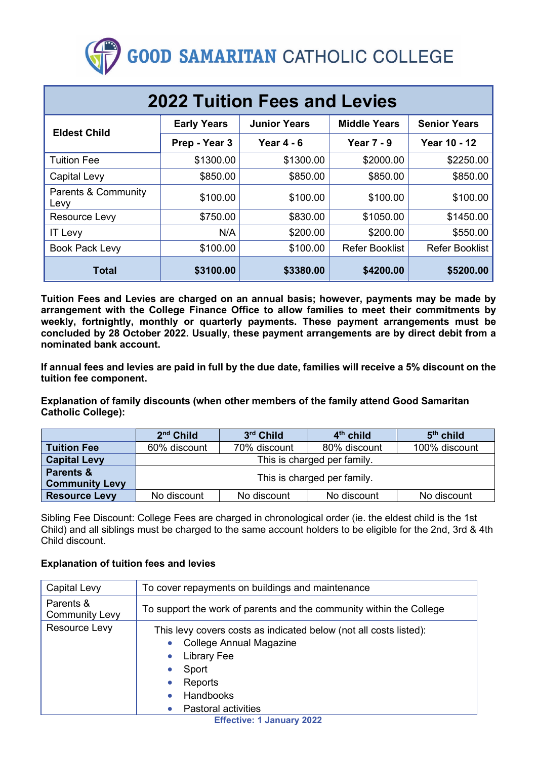# **GOOD SAMARITAN CATHOLIC COLLEGE**

| <b>2022 Tuition Fees and Levies</b>    |                    |                     |                       |                       |  |
|----------------------------------------|--------------------|---------------------|-----------------------|-----------------------|--|
| <b>Eldest Child</b>                    | <b>Early Years</b> | <b>Junior Years</b> | <b>Middle Years</b>   | <b>Senior Years</b>   |  |
|                                        | Prep - Year 3      | Year $4 - 6$        | <b>Year 7 - 9</b>     | <b>Year 10 - 12</b>   |  |
| <b>Tuition Fee</b>                     | \$1300.00          | \$1300.00           | \$2000.00             | \$2250.00             |  |
| Capital Levy                           | \$850.00           | \$850.00            | \$850.00              | \$850.00              |  |
| <b>Parents &amp; Community</b><br>Levy | \$100.00           | \$100.00            | \$100.00              | \$100.00              |  |
| Resource Levy                          | \$750.00           | \$830.00            | \$1050.00             | \$1450.00             |  |
| <b>IT Levy</b>                         | N/A                | \$200.00            | \$200.00              | \$550.00              |  |
| <b>Book Pack Levy</b>                  | \$100.00           | \$100.00            | <b>Refer Booklist</b> | <b>Refer Booklist</b> |  |
| <b>Total</b>                           | \$3100.00          | \$3380.00           | \$4200.00             | \$5200.00             |  |

**Tuition Fees and Levies are charged on an annual basis; however, payments may be made by arrangement with the College Finance Office to allow families to meet their commitments by weekly, fortnightly, monthly or quarterly payments. These payment arrangements must be concluded by 28 October 2022. Usually, these payment arrangements are by direct debit from a nominated bank account.**

**If annual fees and levies are paid in full by the due date, families will receive a 5% discount on the tuition fee component.**

**Explanation of family discounts (when other members of the family attend Good Samaritan Catholic College):**

|                                    | $2nd$ Child                 | 3rd Child    | $4th$ child  | $5th$ child   |
|------------------------------------|-----------------------------|--------------|--------------|---------------|
| <b>Tuition Fee</b>                 | 60% discount                | 70% discount | 80% discount | 100% discount |
| <b>Capital Levy</b>                | This is charged per family. |              |              |               |
| Parents &<br><b>Community Levy</b> | This is charged per family. |              |              |               |
| <b>Resource Levy</b>               | No discount                 | No discount  | No discount  | No discount   |

Sibling Fee Discount: College Fees are charged in chronological order (ie. the eldest child is the 1st Child) and all siblings must be charged to the same account holders to be eligible for the 2nd, 3rd & 4th Child discount.

#### **Explanation of tuition fees and levies**

| Capital Levy                       | To cover repayments on buildings and maintenance                                                                                                                                         |  |  |
|------------------------------------|------------------------------------------------------------------------------------------------------------------------------------------------------------------------------------------|--|--|
| Parents &<br><b>Community Levy</b> | To support the work of parents and the community within the College                                                                                                                      |  |  |
| Resource Levy                      | This levy covers costs as indicated below (not all costs listed):<br><b>College Annual Magazine</b><br><b>Library Fee</b><br>Sport<br>Reports<br>Handbooks<br><b>Pastoral activities</b> |  |  |

**Effective: 1 January 2022**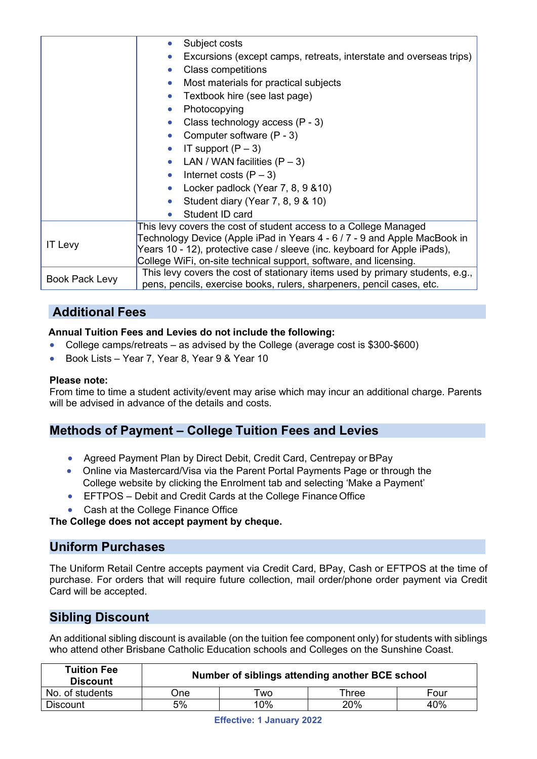|                       | Subject costs                                                                 |  |  |
|-----------------------|-------------------------------------------------------------------------------|--|--|
|                       | Excursions (except camps, retreats, interstate and overseas trips)            |  |  |
|                       | <b>Class competitions</b>                                                     |  |  |
|                       | Most materials for practical subjects                                         |  |  |
|                       | Textbook hire (see last page)                                                 |  |  |
|                       | Photocopying                                                                  |  |  |
|                       | Class technology access (P - 3)                                               |  |  |
|                       | Computer software (P - 3)                                                     |  |  |
|                       | IT support $(P-3)$                                                            |  |  |
|                       | LAN / WAN facilities $(P-3)$                                                  |  |  |
|                       | Internet costs $(P - 3)$                                                      |  |  |
|                       | Locker padlock (Year 7, 8, 9 & 10)                                            |  |  |
|                       | Student diary (Year 7, 8, 9 & 10)                                             |  |  |
|                       | Student ID card                                                               |  |  |
| <b>IT Levy</b>        | This levy covers the cost of student access to a College Managed              |  |  |
|                       | Technology Device (Apple iPad in Years 4 - 6 / 7 - 9 and Apple MacBook in     |  |  |
|                       | Years 10 - 12), protective case / sleeve (inc. keyboard for Apple iPads),     |  |  |
|                       | College WiFi, on-site technical support, software, and licensing.             |  |  |
| <b>Book Pack Levy</b> | This levy covers the cost of stationary items used by primary students, e.g., |  |  |
|                       | pens, pencils, exercise books, rulers, sharpeners, pencil cases, etc.         |  |  |

## **Additional Fees**

#### **Annual Tuition Fees and Levies do not include the following:**

- College camps/retreats as advised by the College (average cost is \$300-\$600)
- Book Lists Year 7, Year 8, Year 9 & Year 10

#### **Please note:**

From time to time a student activity/event may arise which may incur an additional charge. Parents will be advised in advance of the details and costs.

## **Methods of Payment – College Tuition Fees and Levies**

- Agreed Payment Plan by Direct Debit, Credit Card, Centrepay or BPay
- Online via Mastercard/Visa via the Parent Portal Payments Page or through the College website by clicking the Enrolment tab and selecting 'Make a Payment'
- EFTPOS Debit and Credit Cards at the College Finance Office
- Cash at the College Finance Office

**The College does not accept payment by cheque.**

### **Uniform Purchases**

The Uniform Retail Centre accepts payment via Credit Card, BPay, Cash or EFTPOS at the time of purchase. For orders that will require future collection, mail order/phone order payment via Credit Card will be accepted.

## **Sibling Discount**

An additional sibling discount is available (on the tuition fee component only) for students with siblings who attend other Brisbane Catholic Education schools and Colleges on the Sunshine Coast.

| <b>Tuition Fee</b><br><b>Discount</b> | Number of siblings attending another BCE school |           |       |      |
|---------------------------------------|-------------------------------------------------|-----------|-------|------|
| No. of students                       | )ne                                             | <b>WO</b> | Three | Four |
| <b>Discount</b>                       | 5%                                              | 10%       | 20%   | 40%  |